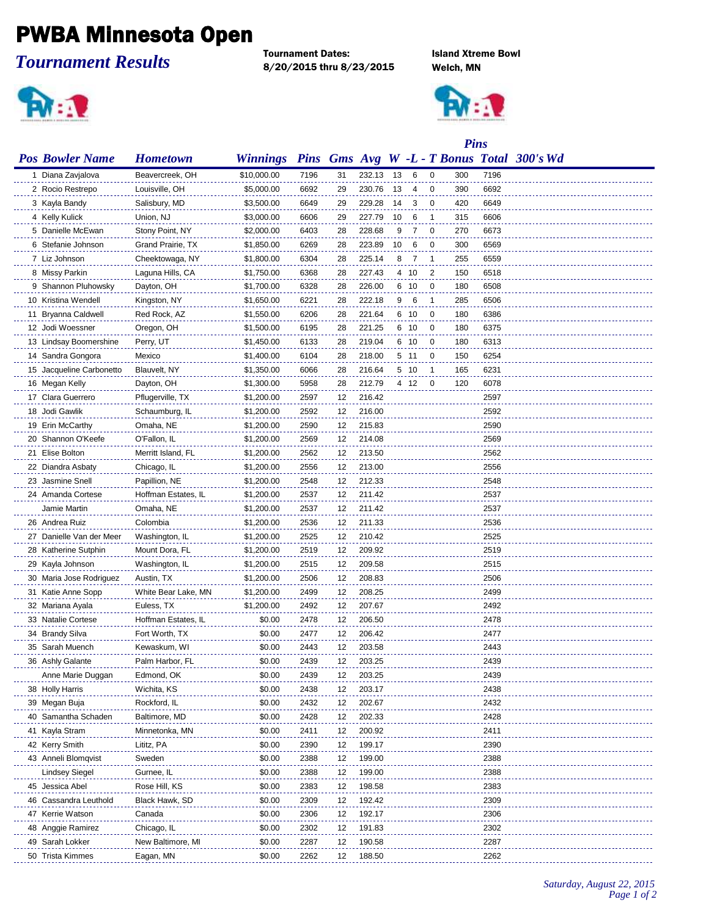## PWBA Minnesota Open

*Tournament Results*

Tournament Dates: Island Xtreme Bowl 8/20/2015 thru 8/23/2015 Welch, MN





|                          |                     |                 |      | <b>Pins</b> |        |    |      |    |     |      |                                            |
|--------------------------|---------------------|-----------------|------|-------------|--------|----|------|----|-----|------|--------------------------------------------|
| <b>Pos Bowler Name</b>   | <b>Hometown</b>     | <b>Winnings</b> |      |             |        |    |      |    |     |      | Pins Gms Avg W -L - T Bonus Total 300's Wd |
| 1 Diana Zavjalova        | Beavercreek, OH     | \$10,000.00     | 7196 | 31          | 232.13 | 13 | -6   | 0  | 300 | 7196 |                                            |
| 2 Rocio Restrepo         | Louisville, OH      | \$5,000.00      | 6692 | 29          | 230.76 | 13 | 4    | 0  | 390 | 6692 |                                            |
| 3 Kayla Bandy            | Salisbury, MD       | \$3,500.00      | 6649 | 29          | 229.28 | 14 | 3    | 0  | 420 | 6649 |                                            |
| 4 Kelly Kulick           | Union, NJ           | \$3,000.00      | 6606 | 29          | 227.79 | 10 | 6    | -1 | 315 | 6606 |                                            |
| 5 Danielle McEwan        | Stony Point, NY     | \$2,000.00      | 6403 | 28          | 228.68 | 9  | -7   | 0  | 270 | 6673 |                                            |
| 6 Stefanie Johnson       | Grand Prairie, TX   | \$1,850.00      | 6269 | 28          | 223.89 | 10 | 6    | 0  | 300 | 6569 |                                            |
| 7 Liz Johnson            | Cheektowaga, NY     | \$1,800.00      | 6304 | 28          | 225.14 | 8  | -7   | -1 | 255 | 6559 |                                            |
| 8 Missy Parkin           | Laguna Hills, CA    | \$1,750.00      | 6368 | 28          | 227.43 |    | 4 10 | 2  | 150 | 6518 |                                            |
| 9 Shannon Pluhowsky      | Dayton, OH          | \$1,700.00      | 6328 | 28          | 226.00 |    | 6 10 | 0  | 180 | 6508 |                                            |
| 10 Kristina Wendell      | Kingston, NY        | \$1,650.00      | 6221 | 28          | 222.18 | 9  | 6    | 1  | 285 | 6506 |                                            |
| 11 Bryanna Caldwell      | Red Rock, AZ        | \$1,550.00      | 6206 | 28          | 221.64 |    | 6 10 | 0  | 180 | 6386 |                                            |
| 12 Jodi Woessner         | Oregon, OH          | \$1,500.00      | 6195 | 28          | 221.25 |    | 6 10 | 0  | 180 | 6375 |                                            |
| 13 Lindsay Boomershine   | Perry, UT           | \$1,450.00      | 6133 | 28          | 219.04 |    | 6 10 | 0  | 180 | 6313 |                                            |
| 14 Sandra Gongora        | Mexico              | \$1,400.00      | 6104 | 28          | 218.00 |    | 5 11 | 0  | 150 | 6254 |                                            |
| 15 Jacqueline Carbonetto | Blauvelt, NY        | \$1,350.00      | 6066 | 28          | 216.64 |    | 5 10 | 1  | 165 | 6231 |                                            |
| 16 Megan Kelly           | Dayton, OH          | \$1,300.00      | 5958 | 28          | 212.79 |    | 4 12 | 0  | 120 | 6078 |                                            |
| 17 Clara Guerrero        | Pflugerville, TX    | \$1,200.00      | 2597 | 12          | 216.42 |    |      |    |     | 2597 |                                            |
| 18 Jodi Gawlik           | Schaumburg, IL      | \$1,200.00      | 2592 | 12          | 216.00 |    |      |    |     | 2592 |                                            |
| 19 Erin McCarthy         | Omaha, NE           | \$1,200.00      | 2590 | 12          | 215.83 |    |      |    |     | 2590 |                                            |
| 20 Shannon O'Keefe       | O'Fallon, IL        | \$1,200.00      | 2569 | 12          | 214.08 |    |      |    |     | 2569 |                                            |
| 21 Elise Bolton          | Merritt Island, FL  | \$1,200.00      | 2562 | 12          | 213.50 |    |      |    |     | 2562 |                                            |
| 22 Diandra Asbaty        | Chicago, IL         | \$1,200.00      | 2556 | 12          | 213.00 |    |      |    |     | 2556 |                                            |
| 23 Jasmine Snell         | Papillion, NE       | \$1,200.00      | 2548 | 12          | 212.33 |    |      |    |     | 2548 |                                            |
| 24 Amanda Cortese        | Hoffman Estates, IL | \$1,200.00      | 2537 | 12          | 211.42 |    |      |    |     | 2537 |                                            |
| Jamie Martin             | Omaha, NE           | \$1,200.00      | 2537 | 12          | 211.42 |    |      |    |     | 2537 |                                            |
| 26 Andrea Ruiz           | Colombia            | \$1,200.00      | 2536 | 12          | 211.33 |    |      |    |     | 2536 |                                            |
| 27 Danielle Van der Meer | Washington, IL      | \$1,200.00      | 2525 | 12          | 210.42 |    |      |    |     | 2525 |                                            |
| 28 Katherine Sutphin     | Mount Dora, FL      | \$1,200.00      | 2519 | 12          | 209.92 |    |      |    |     | 2519 |                                            |
| 29 Kayla Johnson         | Washington, IL      | \$1,200.00      | 2515 | 12          | 209.58 |    |      |    |     | 2515 |                                            |
| 30 Maria Jose Rodriguez  | Austin, TX          | \$1,200.00      | 2506 | 12          | 208.83 |    |      |    |     | 2506 |                                            |
| 31 Katie Anne Sopp       | White Bear Lake, MN | \$1,200.00      | 2499 | 12          | 208.25 |    |      |    |     | 2499 |                                            |
| 32 Mariana Ayala         | Euless, TX          | \$1,200.00      | 2492 | 12          | 207.67 |    |      |    |     | 2492 |                                            |
| 33 Natalie Cortese       | Hoffman Estates, IL | \$0.00          | 2478 | 12          | 206.50 |    |      |    |     | 2478 |                                            |
| 34 Brandy Silva          | Fort Worth, TX      | \$0.00          | 2477 | 12          | 206.42 |    |      |    |     | 2477 |                                            |
| 35 Sarah Muench          | Kewaskum, WI        | \$0.00          | 2443 | 12          | 203.58 |    |      |    |     | 2443 |                                            |
| 36 Ashly Galante         | Palm Harbor, FL     | \$0.00          | 2439 | 12          | 203.25 |    |      |    |     | 2439 |                                            |
| Anne Marie Duggan        | Edmond, OK          | \$0.00          | 2439 | 12          | 203.25 |    |      |    |     | 2439 |                                            |
| 38 Holly Harris          | Wichita, KS         | \$0.00          | 2438 | 12          | 203.17 |    |      |    |     | 2438 |                                            |
| 39 Megan Buja            | Rockford, IL        | \$0.00          | 2432 | 12          | 202.67 |    |      |    |     | 2432 |                                            |
| 40 Samantha Schaden      | Baltimore, MD       | \$0.00          | 2428 | 12          | 202.33 |    |      |    |     | 2428 |                                            |
| 41 Kayla Stram           | Minnetonka, MN      | \$0.00          | 2411 | 12          | 200.92 |    |      |    |     | 2411 |                                            |
| 42 Kerry Smith           | Lititz, PA          | \$0.00          | 2390 | 12          | 199.17 |    |      |    |     | 2390 |                                            |
| 43 Anneli Blomqvist      | Sweden              | \$0.00          | 2388 | 12          | 199.00 |    |      |    |     | 2388 |                                            |
| Lindsey Siegel           | Gurnee, IL          | \$0.00          | 2388 | 12          | 199.00 |    |      |    |     | 2388 |                                            |
| 45 Jessica Abel          | Rose Hill, KS       | \$0.00          | 2383 | 12          | 198.58 |    |      |    |     | 2383 |                                            |
| 46 Cassandra Leuthold    | Black Hawk, SD      | \$0.00          | 2309 | 12          | 192.42 |    |      |    |     | 2309 |                                            |
| 47 Kerrie Watson         | Canada              | \$0.00          | 2306 | 12          | 192.17 |    |      |    |     | 2306 |                                            |
| 48 Anggie Ramirez        | Chicago, IL         | \$0.00          | 2302 | 12          | 191.83 |    |      |    |     | 2302 |                                            |
| 49 Sarah Lokker          | New Baltimore, MI   | \$0.00          | 2287 | 12          | 190.58 |    |      |    |     | 2287 |                                            |
| 50 Trista Kimmes         | Eagan, MN           | \$0.00          | 2262 | 12          | 188.50 |    |      |    |     | 2262 |                                            |
|                          |                     |                 |      |             |        |    |      |    |     |      |                                            |

*Saturday, August 22, 2015 Page 1 of 2*